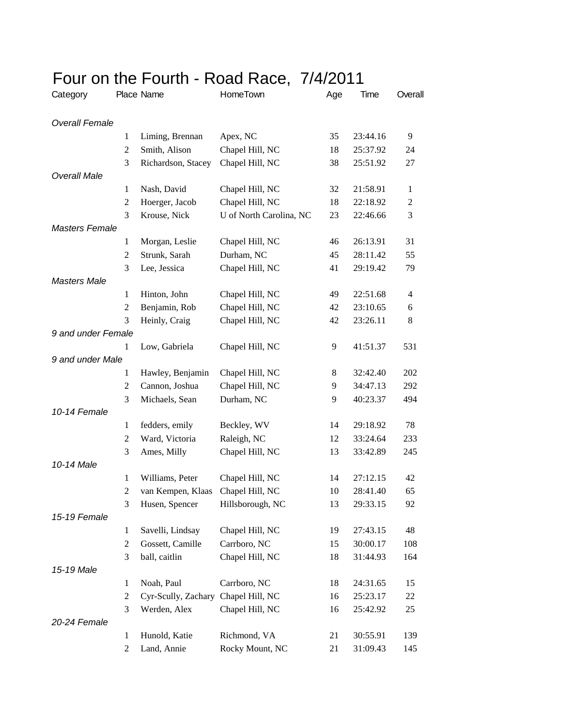| <b>UUI UII LIIU I UUILII</b> |                |                                   | 10001100,               | 17T/ZU |          |                |
|------------------------------|----------------|-----------------------------------|-------------------------|--------|----------|----------------|
| Category                     |                | Place Name                        | HomeTown                | Age    | Time     | Overall        |
| <b>Overall Female</b>        |                |                                   |                         |        |          |                |
|                              | 1              | Liming, Brennan                   | Apex, NC                | 35     | 23:44.16 | 9              |
|                              | $\overline{2}$ | Smith, Alison                     | Chapel Hill, NC         | 18     | 25:37.92 | 24             |
|                              | 3              | Richardson, Stacey                | Chapel Hill, NC         | 38     | 25:51.92 | 27             |
| <b>Overall Male</b>          |                |                                   |                         |        |          |                |
|                              | 1              | Nash, David                       | Chapel Hill, NC         | 32     | 21:58.91 | $\mathbf{1}$   |
|                              | $\overline{c}$ | Hoerger, Jacob                    | Chapel Hill, NC         | 18     | 22:18.92 | $\overline{c}$ |
|                              | 3              | Krouse, Nick                      | U of North Carolina, NC | 23     | 22:46.66 | 3              |
| <b>Masters Female</b>        |                |                                   |                         |        |          |                |
|                              | 1              | Morgan, Leslie                    | Chapel Hill, NC         | 46     | 26:13.91 | 31             |
|                              | $\overline{2}$ | Strunk, Sarah                     | Durham, NC              | 45     | 28:11.42 | 55             |
|                              | 3              | Lee, Jessica                      | Chapel Hill, NC         | 41     | 29:19.42 | 79             |
| <b>Masters Male</b>          |                |                                   |                         |        |          |                |
|                              | $\mathbf{1}$   | Hinton, John                      | Chapel Hill, NC         | 49     | 22:51.68 | 4              |
|                              | 2              | Benjamin, Rob                     | Chapel Hill, NC         | 42     | 23:10.65 | 6              |
|                              | 3              | Heinly, Craig                     | Chapel Hill, NC         | 42     | 23:26.11 | $\,8\,$        |
| 9 and under Female           |                |                                   |                         |        |          |                |
|                              | 1              | Low, Gabriela                     | Chapel Hill, NC         | 9      | 41:51.37 | 531            |
| 9 and under Male             |                |                                   |                         |        |          |                |
|                              | 1              | Hawley, Benjamin                  | Chapel Hill, NC         | 8      | 32:42.40 | 202            |
|                              | 2              | Cannon, Joshua                    | Chapel Hill, NC         | 9      | 34:47.13 | 292            |
|                              | 3              | Michaels, Sean                    | Durham, NC              | 9      | 40:23.37 | 494            |
| 10-14 Female                 |                |                                   |                         |        |          |                |
|                              | $\mathbf{1}$   | fedders, emily                    | Beckley, WV             | 14     | 29:18.92 | 78             |
|                              | 2              | Ward, Victoria                    | Raleigh, NC             | 12     | 33:24.64 | 233            |
|                              | 3              | Ames, Milly                       | Chapel Hill, NC         | 13     | 33:42.89 | 245            |
| 10-14 Male                   |                |                                   |                         |        |          |                |
|                              | $\mathbf{1}$   | Williams, Peter                   | Chapel Hill, NC         | 14     | 27:12.15 | 42             |
|                              | $\mathfrak{D}$ | van Kempen, Klaas Chapel Hill, NC |                         | 10     | 28:41.40 | 65             |
|                              | 3              | Husen, Spencer                    | Hillsborough, NC        | 13     | 29:33.15 | 92             |
| 15-19 Female                 |                |                                   |                         |        |          |                |
|                              | 1              | Savelli, Lindsay                  | Chapel Hill, NC         | 19     | 27:43.15 | 48             |
|                              | 2              | Gossett, Camille                  | Carrboro, NC            | 15     | 30:00.17 | 108            |
|                              | 3              | ball, caitlin                     | Chapel Hill, NC         | 18     | 31:44.93 | 164            |
| 15-19 Male                   |                |                                   |                         |        |          |                |
|                              | 1              | Noah, Paul                        | Carrboro, NC            | 18     | 24:31.65 | 15             |
|                              | $\overline{c}$ | Cyr-Scully, Zachary               | Chapel Hill, NC         | 16     | 25:23.17 | 22             |
|                              | 3              | Werden, Alex                      | Chapel Hill, NC         | 16     | 25:42.92 | 25             |
| 20-24 Female                 |                |                                   |                         |        |          |                |
|                              | 1              | Hunold, Katie                     | Richmond, VA            | 21     | 30:55.91 | 139            |
|                              | $\overline{c}$ | Land, Annie                       | Rocky Mount, NC         | 21     | 31:09.43 | 145            |

## Four on the Fourth - Road Race, 7/4/2011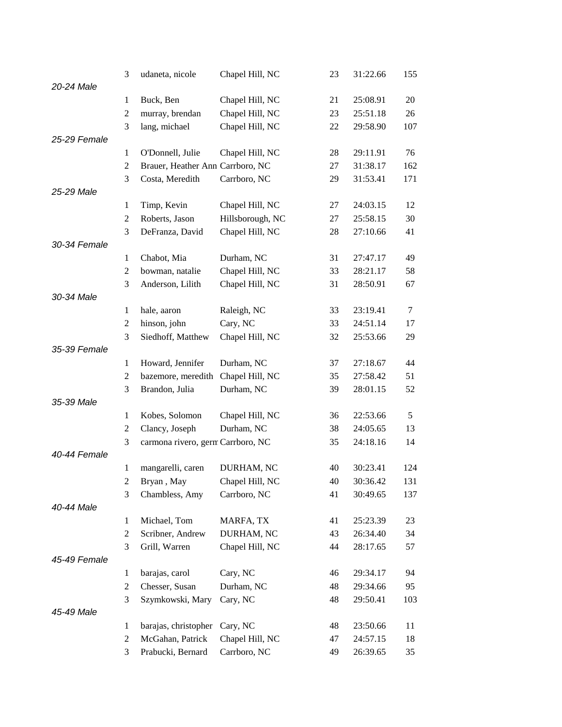|              | 3              | udaneta, nicole                   | Chapel Hill, NC  | 23 | 31:22.66 | 155 |
|--------------|----------------|-----------------------------------|------------------|----|----------|-----|
| 20-24 Male   |                |                                   |                  |    |          |     |
|              | $\mathbf{1}$   | Buck, Ben                         | Chapel Hill, NC  | 21 | 25:08.91 | 20  |
|              | $\overline{2}$ | murray, brendan                   | Chapel Hill, NC  | 23 | 25:51.18 | 26  |
|              | 3              | lang, michael                     | Chapel Hill, NC  | 22 | 29:58.90 | 107 |
| 25-29 Female |                |                                   |                  |    |          |     |
|              | 1              | O'Donnell, Julie                  | Chapel Hill, NC  | 28 | 29:11.91 | 76  |
|              | $\overline{2}$ | Brauer, Heather Ann Carrboro, NC  |                  | 27 | 31:38.17 | 162 |
|              | 3              | Costa, Meredith                   | Carrboro, NC     | 29 | 31:53.41 | 171 |
| 25-29 Male   |                |                                   |                  |    |          |     |
|              | $\mathbf{1}$   | Timp, Kevin                       | Chapel Hill, NC  | 27 | 24:03.15 | 12  |
|              | 2              | Roberts, Jason                    | Hillsborough, NC | 27 | 25:58.15 | 30  |
|              | 3              | DeFranza, David                   | Chapel Hill, NC  | 28 | 27:10.66 | 41  |
| 30-34 Female |                |                                   |                  |    |          |     |
|              | 1              | Chabot, Mia                       | Durham, NC       | 31 | 27:47.17 | 49  |
|              | $\overline{2}$ | bowman, natalie                   | Chapel Hill, NC  | 33 | 28:21.17 | 58  |
|              | 3              | Anderson, Lilith                  | Chapel Hill, NC  | 31 | 28:50.91 | 67  |
| 30-34 Male   |                |                                   |                  |    |          |     |
|              | $\mathbf{1}$   | hale, aaron                       | Raleigh, NC      | 33 | 23:19.41 | 7   |
|              | $\overline{c}$ | hinson, john                      | Cary, NC         | 33 | 24:51.14 | 17  |
|              | 3              | Siedhoff, Matthew                 | Chapel Hill, NC  | 32 | 25:53.66 | 29  |
| 35-39 Female |                |                                   |                  |    |          |     |
|              | 1              | Howard, Jennifer                  | Durham, NC       | 37 | 27:18.67 | 44  |
|              | $\mathfrak{2}$ | bazemore, meredith                | Chapel Hill, NC  | 35 | 27:58.42 | 51  |
|              | 3              | Brandon, Julia                    | Durham, NC       | 39 | 28:01.15 | 52  |
| 35-39 Male   |                |                                   |                  |    |          |     |
|              | $\mathbf{1}$   | Kobes, Solomon                    | Chapel Hill, NC  | 36 | 22:53.66 | 5   |
|              | 2              | Clancy, Joseph                    | Durham, NC       | 38 | 24:05.65 | 13  |
|              | 3              | carmona rivero, germ Carrboro, NC |                  | 35 | 24:18.16 | 14  |
| 40-44 Female |                |                                   |                  |    |          |     |
|              | $\mathbf{1}$   | mangarelli, caren                 | DURHAM, NC       | 40 | 30:23.41 | 124 |
|              | $\overline{c}$ | Bryan, May                        | Chapel Hill, NC  | 40 | 30:36.42 | 131 |
|              | 3              | Chambless, Amy                    | Carrboro, NC     | 41 | 30:49.65 | 137 |
| 40-44 Male   |                |                                   |                  |    |          |     |
|              | 1              | Michael, Tom                      | MARFA, TX        | 41 | 25:23.39 | 23  |
|              | 2              | Scribner, Andrew                  | DURHAM, NC       | 43 | 26:34.40 | 34  |
|              | 3              | Grill, Warren                     | Chapel Hill, NC  | 44 | 28:17.65 | 57  |
| 45-49 Female |                |                                   |                  |    |          |     |
|              | 1              | barajas, carol                    | Cary, NC         | 46 | 29:34.17 | 94  |
|              | $\overline{2}$ | Chesser, Susan                    | Durham, NC       | 48 | 29:34.66 | 95  |
|              | 3              | Szymkowski, Mary                  | Cary, NC         | 48 | 29:50.41 | 103 |
| 45-49 Male   |                |                                   |                  |    |          |     |
|              | 1              | barajas, christopher              | Cary, NC         | 48 | 23:50.66 | 11  |
|              | 2              | McGahan, Patrick                  | Chapel Hill, NC  | 47 | 24:57.15 | 18  |
|              | 3              | Prabucki, Bernard                 | Carrboro, NC     | 49 | 26:39.65 | 35  |